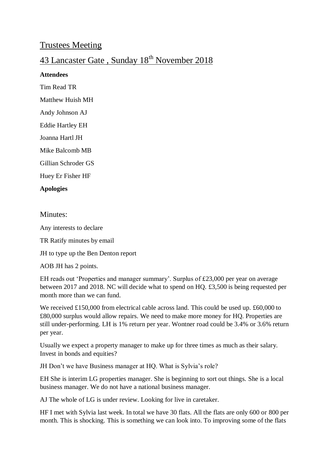## Trustees Meeting

# 43 Lancaster Gate, Sunday 18<sup>th</sup> November 2018

#### **Attendees**

Tim Read TR

Matthew Huish MH

Andy Johnson AJ

Eddie Hartley EH

Joanna Hartl JH

Mike Balcomb MB

Gillian Schroder GS

Huey Er Fisher HF

#### **Apologies**

#### Minutes:

Any interests to declare

TR Ratify minutes by email

JH to type up the Ben Denton report

#### AOB JH has 2 points.

EH reads out 'Properties and manager summary'. Surplus of £23,000 per year on average between 2017 and 2018. NC will decide what to spend on HQ. £3,500 is being requested per month more than we can fund.

We received £150,000 from electrical cable across land. This could be used up. £60,000 to £80,000 surplus would allow repairs. We need to make more money for HQ. Properties are still under-performing. LH is 1% return per year. Wontner road could be 3.4% or 3.6% return per year.

Usually we expect a property manager to make up for three times as much as their salary. Invest in bonds and equities?

JH Don't we have Business manager at HQ. What is Sylvia's role?

EH She is interim LG properties manager. She is beginning to sort out things. She is a local business manager. We do not have a national business manager.

AJ The whole of LG is under review. Looking for live in caretaker.

HF I met with Sylvia last week. In total we have 30 flats. All the flats are only 600 or 800 per month. This is shocking. This is something we can look into. To improving some of the flats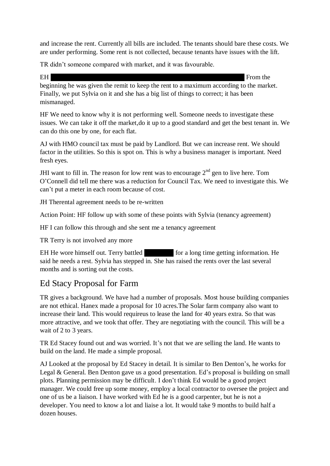and increase the rent. Currently all bills are included. The tenants should bare these costs. We are under performing. Some rent is not collected, because tenants have issues with the lift.

TR didn't someone compared with market, and it was favourable.

EH From the  $\mathbb{R}$ 

beginning he was given the remit to keep the rent to a maximum according to the market. Finally, we put Sylvia on it and she has a big list of things to correct; it has been mismanaged.

HF We need to know why it is not performing well. Someone needs to investigate these issues. We can take it off the market,do it up to a good standard and get the best tenant in. We can do this one by one, for each flat.

AJ with HMO council tax must be paid by Landlord. But we can increase rent. We should factor in the utilities. So this is spot on. This is why a business manager is important. Need fresh eyes.

JHI want to fill in. The reason for low rent was to encourage  $2<sup>nd</sup>$  gen to live here. Tom O'Connell did tell me there was a reduction for Council Tax. We need to investigate this. We can't put a meter in each room because of cost.

JH Therental agreement needs to be re-written

Action Point: HF follow up with some of these points with Sylvia (tenancy agreement)

HF I can follow this through and she sent me a tenancy agreement

TR Terry is not involved any more

EH He wore himself out. Terry battled for a long time getting information. He said he needs a rest. Sylvia has stepped in. She has raised the rents over the last several months and is sorting out the costs.

# Ed Stacy Proposal for Farm

TR gives a background. We have had a number of proposals. Most house building companies are not ethical. Hanex made a proposal for 10 acres.The Solar farm company also want to increase their land. This would requireus to lease the land for 40 years extra. So that was more attractive, and we took that offer. They are negotiating with the council. This will be a wait of 2 to 3 years.

TR Ed Stacey found out and was worried. It's not that we are selling the land. He wants to build on the land. He made a simple proposal.

AJ Looked at the proposal by Ed Stacey in detail. It is similar to Ben Denton's, he works for Legal & General. Ben Denton gave us a good presentation. Ed's proposal is building on small plots. Planning permission may be difficult. I don't think Ed would be a good project manager. We could free up some money, employ a local contractor to oversee the project and one of us be a liaison. I have worked with Ed he is a good carpenter, but he is not a developer. You need to know a lot and liaise a lot. It would take 9 months to build half a dozen houses.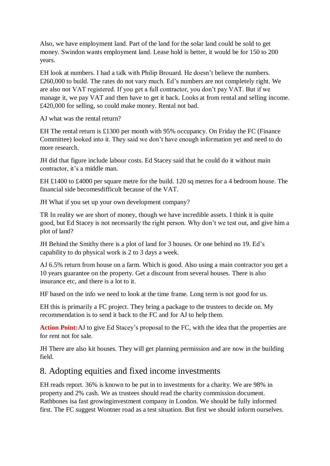Also, we have employment land. Part of the land for the solar land could be sold to get money. Swindon wants employment land. Lease hold is better, it would be for 150 to 200 years.

EH look at numbers. I had a talk with Philip Brouard. He doesn't believe the numbers. £260,000 to build. The rates do not vary much. Ed's numbers are not completely right. We are also not VAT registered. If you get a full contractor, you don't pay VAT. But if we manage it, we pay VAT and then have to get it back. Looks at from rental and selling income. £420,000 for selling, so could make money. Rental not bad.

AJ what was the rental return?

EH The rental return is £1300 per month with 95% occupancy. On Friday the FC (Finance Committee) looked into it. They said we don't have enough information yet and need to do more research.

JH did that figure include labour costs. Ed Stacey said that he could do it without main contractor, it's a middle man.

EH £1400 to £4000 per square metre for the build. 120 sq metres for a 4 bedroom house. The financial side becomesdifficult because of the VAT.

JH What if you set up your own development company?

TR In reality we are short of money, though we have incredible assets. I think it is quite good, but Ed Stacey is not necessarily the right person. Why don't we test out, and give him a plot of land?

JH Behind the Smithy there is a plot of land for 3 houses. Or one behind no 19. Ed's capability to do physical work is 2 to 3 days a week.

AJ 6.5% return from house on a farm. Which is good. Also using a main contractor you get a 10 years guarantee on the property. Get a discount from several houses. There is also insurance etc, and there is a lot to it.

HF based on the info we need to look at the time frame. Long term is not good for us.

EH this is primarily a FC project. They bring a package to the trustees to decide on. My recommendation is to send it back to the FC and for AJ to help them.

Action Point: AJ to give Ed Stacey's proposal to the FC, with the idea that the properties are for rent not for sale.

JH There are also kit houses. They will get planning permission and are now in the building field.

## 8. Adopting equities and fixed income investments

EH reads report. 36% is known to be put in to investments for a charity. We are 98% in property and 2% cash. We as trustees should read the charity commission document. Rathbones isa fast growinginvestment company in London. We should be fully informed first. The FC suggest Wontner road as a test situation. But first we should inform ourselves.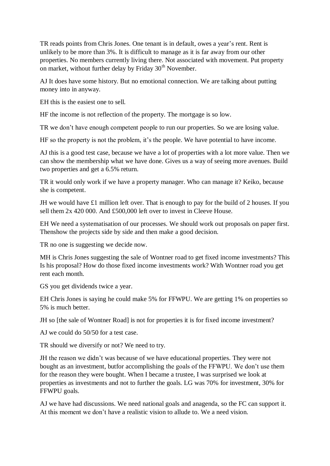TR reads points from Chris Jones. One tenant is in default, owes a year's rent. Rent is unlikely to be more than 3%. It is difficult to manage as it is far away from our other properties. No members currently living there. Not associated with movement. Put property on market, without further delay by Friday  $30<sup>th</sup>$  November.

AJ It does have some history. But no emotional connection. We are talking about putting money into in anyway.

EH this is the easiest one to sell.

HF the income is not reflection of the property. The mortgage is so low.

TR we don't have enough competent people to run our properties. So we are losing value.

HF so the property is not the problem, it's the people. We have potential to have income.

AJ this is a good test case, because we have a lot of properties with a lot more value. Then we can show the membership what we have done. Gives us a way of seeing more avenues. Build two properties and get a 6.5% return.

TR it would only work if we have a property manager. Who can manage it? Keiko, because she is competent.

JH we would have £1 million left over. That is enough to pay for the build of 2 houses. If you sell them 2x 420 000. And £500,000 left over to invest in Cleeve House.

EH We need a systematisation of our processes. We should work out proposals on paper first. Thenshow the projects side by side and then make a good decision.

TR no one is suggesting we decide now.

MH is Chris Jones suggesting the sale of Wontner road to get fixed income investments? This Is his proposal? How do those fixed income investments work? With Wontner road you get rent each month.

GS you get dividends twice a year.

EH Chris Jones is saying he could make 5% for FFWPU. We are getting 1% on properties so 5% is much better.

JH so [the sale of Wontner Road] is not for properties it is for fixed income investment?

AJ we could do 50/50 for a test case.

TR should we diversify or not? We need to try.

JH the reason we didn't was because of we have educational properties. They were not bought as an investment, butfor accomplishing the goals of the FFWPU. We don't use them for the reason they were bought. When I became a trustee, I was surprised we look at properties as investments and not to further the goals. LG was 70% for investment, 30% for FFWPU goals.

AJ we have had discussions. We need national goals and anagenda, so the FC can support it. At this moment we don't have a realistic vision to allude to. We a need vision.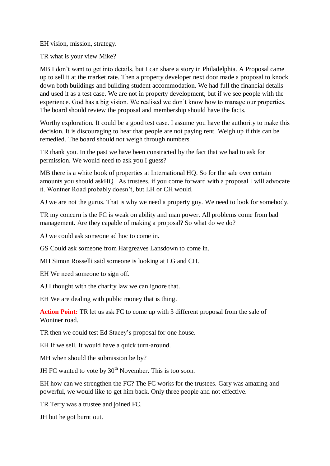EH vision, mission, strategy.

TR what is your view Mike?

MB I don't want to get into details, but I can share a story in Philadelphia. A Proposal came up to sell it at the market rate. Then a property developer next door made a proposal to knock down both buildings and building student accommodation. We had full the financial details and used it as a test case. We are not in property development, but if we see people with the experience. God has a big vision. We realised we don't know how to manage our properties. The board should review the proposal and membership should have the facts.

Worthy exploration. It could be a good test case. I assume you have the authority to make this decision. It is discouraging to hear that people are not paying rent. Weigh up if this can be remedied. The board should not weigh through numbers.

TR thank you. In the past we have been constricted by the fact that we had to ask for permission. We would need to ask you I guess?

MB there is a white book of properties at International HO. So for the sale over certain amounts you should askHQ . As trustees, if you come forward with a proposal I will advocate it. Wontner Road probably doesn't, but LH or CH would.

AJ we are not the gurus. That is why we need a property guy. We need to look for somebody.

TR my concern is the FC is weak on ability and man power. All problems come from bad management. Are they capable of making a proposal? So what do we do?

AJ we could ask someone ad hoc to come in.

GS Could ask someone from Hargreaves Lansdown to come in.

MH Simon Rosselli said someone is looking at LG and CH.

EH We need someone to sign off.

AJ I thought with the charity law we can ignore that.

EH We are dealing with public money that is thing.

**Action Point:** TR let us ask FC to come up with 3 different proposal from the sale of Wontner road.

TR then we could test Ed Stacey's proposal for one house.

EH If we sell. It would have a quick turn-around.

MH when should the submission be by?

JH FC wanted to vote by  $30<sup>th</sup>$  November. This is too soon.

EH how can we strengthen the FC? The FC works for the trustees. Gary was amazing and powerful, we would like to get him back. Only three people and not effective.

TR Terry was a trustee and joined FC.

JH but he got burnt out.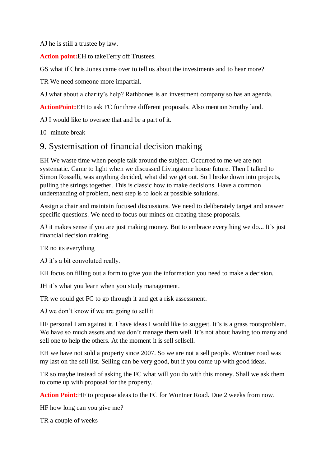AJ he is still a trustee by law.

**Action point:**EH to takeTerry off Trustees.

GS what if Chris Jones came over to tell us about the investments and to hear more?

TR We need someone more impartial.

AJ what about a charity's help? Rathbones is an investment company so has an agenda.

**ActionPoint:**EH to ask FC for three different proposals. Also mention Smithy land.

AJ I would like to oversee that and be a part of it.

10- minute break

## 9. Systemisation of financial decision making

EH We waste time when people talk around the subject. Occurred to me we are not systematic. Came to light when we discussed Livingstone house future. Then I talked to Simon Rosselli, was anything decided, what did we get out. So I broke down into projects, pulling the strings together. This is classic how to make decisions. Have a common understanding of problem, next step is to look at possible solutions.

Assign a chair and maintain focused discussions. We need to deliberately target and answer specific questions. We need to focus our minds on creating these proposals.

AJ it makes sense if you are just making money. But to embrace everything we do... It's just financial decision making.

TR no its everything

AJ it's a bit convoluted really.

EH focus on filling out a form to give you the information you need to make a decision.

JH it's what you learn when you study management.

TR we could get FC to go through it and get a risk assessment.

AJ we don't know if we are going to sell it

HF personal I am against it. I have ideas I would like to suggest. It's is a grass rootsproblem. We have so much assets and we don't manage them well. It's not about having too many and sell one to help the others. At the moment it is sell sellsell.

EH we have not sold a property since 2007. So we are not a sell people. Wontner road was my last on the sell list. Selling can be very good, but if you come up with good ideas.

TR so maybe instead of asking the FC what will you do with this money. Shall we ask them to come up with proposal for the property.

**Action Point:**HF to propose ideas to the FC for Wontner Road. Due 2 weeks from now.

HF how long can you give me?

TR a couple of weeks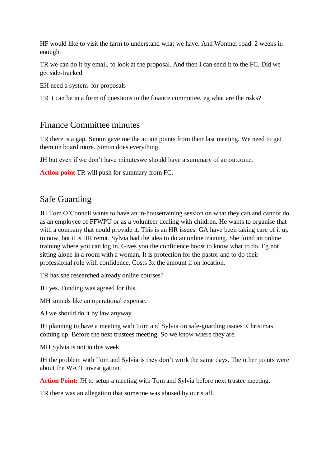HF would like to visit the farm to understand what we have. And Wontner road. 2 weeks in enough.

TR we can do it by email, to look at the proposal. And then I can send it to the FC. Did we get side-tracked.

EH need a system for proposals

TR it can be in a form of questions to the finance committee, eg what are the risks?

## Finance Committee minutes

TR there is a gap. Simon gave me the action points from their last meeting. We need to get them on board more. Simon does everything.

JH but even if we don't have minuteswe should have a summary of an outcome.

**Action point** TR will push for summary from FC.

# Safe Guarding

JH Tom O'Connell wants to have an in-housetraining session on what they can and cannot do as an employee of FFWPU or as a volunteer dealing with children. He wants to organise that with a company that could provide it. This is an HR issues. GA have been taking care of it up to now, but it is HR remit. Sylvia had the idea to do an online training. She foind an online training where you can log in. Gives you the confidence boost to know what to do. Eg not sitting alone in a room with a woman. It is protection for the pastor and to do their professional role with confidence. Costs 3x the amount if on location.

TR has she researched already online courses?

JH yes. Funding was agreed for this.

MH sounds like an operational expense.

AJ we should do it by law anyway.

JH planning to have a meeting with Tom and Sylvia on safe-guarding issues .Christmas coming up. Before the next trustees meeting. So we know where they are.

MH Sylvia is not in this week.

JH the problem with Tom and Sylvia is they don't work the same days. The other points were about the WAIT investigation.

**Action Point:** JH to setup a meeting with Tom and Sylvia before next trustee meeting.

TR there was an allegation that someone was abused by our staff.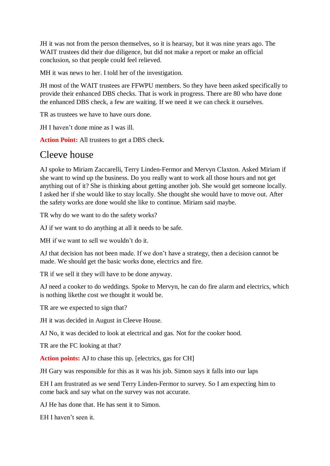JH it was not from the person themselves, so it is hearsay, but it was nine years ago. The WAIT trustees did their due diligence, but did not make a report or make an official conclusion, so that people could feel relieved.

MH it was news to her. I told her of the investigation.

JH most of the WAIT trustees are FFWPU members. So they have been asked specifically to provide their enhanced DBS checks. That is work in progress. There are 80 who have done the enhanced DBS check, a few are waiting. If we need it we can check it ourselves.

TR as trustees we have to have ours done.

JH I haven't done mine as I was ill.

**Action Point:** All trustees to get a DBS check.

# Cleeve house

AJ spoke to Miriam Zaccarelli, Terry Linden-Fermor and Mervyn Claxton. Asked Miriam if she want to wind up the business. Do you really want to work all those hours and not get anything out of it? She is thinking about getting another job. She would get someone locally. I asked her if she would like to stay locally. She thought she would have to move out. After the safety works are done would she like to continue. Miriam said maybe.

TR why do we want to do the safety works?

AJ if we want to do anything at all it needs to be safe.

MH if we want to sell we wouldn't do it.

AJ that decision has not been made. If we don't have a strategy, then a decision cannot be made. We should get the basic works done, electrics and fire.

TR if we sell it they will have to be done anyway.

AJ need a cooker to do weddings. Spoke to Mervyn, he can do fire alarm and electrics, which is nothing likethe cost we thought it would be.

TR are we expected to sign that?

JH it was decided in August in Cleeve House.

AJ No, it was decided to look at electrical and gas. Not for the cooker hood.

TR are the FC looking at that?

**Action points:** AJ to chase this up. [electrics, gas for CH]

JH Gary was responsible for this as it was his job. Simon says it falls into our laps

EH I am frustrated as we send Terry Linden-Fermor to survey. So I am expecting him to come back and say what on the survey was not accurate.

AJ He has done that. He has sent it to Simon.

EH I haven't seen it.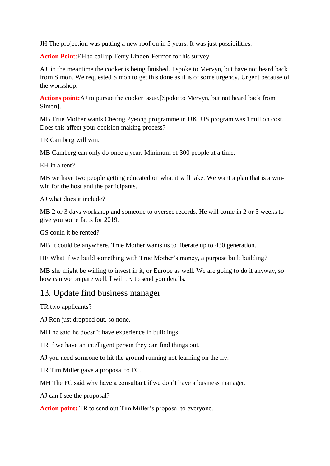JH The projection was putting a new roof on in 5 years. It was just possibilities.

**Action Poin**t:EH to call up Terry Linden-Fermor for his survey.

AJ in the meantime the cooker is being finished. I spoke to Mervyn, but have not heard back from Simon. We requested Simon to get this done as it is of some urgency. Urgent because of the workshop.

**Actions point:**AJ to pursue the cooker issue.[Spoke to Mervyn, but not heard back from Simon].

MB True Mother wants Cheong Pyeong programme in UK. US program was 1million cost. Does this affect your decision making process?

TR Camberg will win.

MB Camberg can only do once a year. Minimum of 300 people at a time.

EH in a tent?

MB we have two people getting educated on what it will take. We want a plan that is a winwin for the host and the participants.

AJ what does it include?

MB 2 or 3 days workshop and someone to oversee records. He will come in 2 or 3 weeks to give you some facts for 2019.

GS could it be rented?

MB It could be anywhere. True Mother wants us to liberate up to 430 generation.

HF What if we build something with True Mother's money, a purpose built building?

MB she might be willing to invest in it, or Europe as well. We are going to do it anyway, so how can we prepare well. I will try to send you details.

#### 13. Update find business manager

TR two applicants?

AJ Ron just dropped out, so none.

MH he said he doesn't have experience in buildings.

TR if we have an intelligent person they can find things out.

AJ you need someone to hit the ground running not learning on the fly.

TR Tim Miller gave a proposal to FC.

MH The FC said why have a consultant if we don't have a business manager.

AJ can I see the proposal?

**Action point:** TR to send out Tim Miller's proposal to everyone.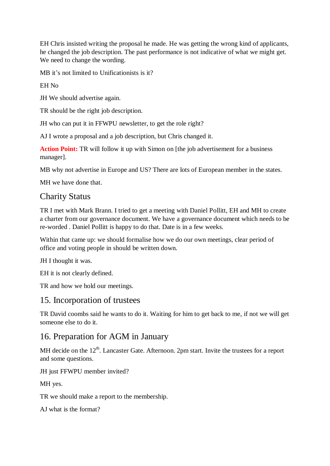EH Chris insisted writing the proposal he made. He was getting the wrong kind of applicants, he changed the job description. The past performance is not indicative of what we might get. We need to change the wording.

MB it's not limited to Unificationists is it?

EH No

JH We should advertise again.

TR should be the right job description.

JH who can put it in FFWPU newsletter, to get the role right?

AJ I wrote a proposal and a job description, but Chris changed it.

**Action Point:** TR will follow it up with Simon on [the job advertisement for a business manager].

MB why not advertise in Europe and US? There are lots of European member in the states.

MH we have done that.

# Charity Status

TR I met with Mark Brann. I tried to get a meeting with Daniel Pollitt, EH and MH to create a charter from our governance document. We have a governance document which needs to be re-worded . Daniel Pollitt is happy to do that. Date is in a few weeks.

Within that came up: we should formalise how we do our own meetings, clear period of office and voting people in should be written down.

JH I thought it was.

EH it is not clearly defined.

TR and how we hold our meetings.

#### 15. Incorporation of trustees

TR David coombs said he wants to do it. Waiting for him to get back to me, if not we will get someone else to do it.

#### 16. Preparation for AGM in January

MH decide on the  $12<sup>th</sup>$ . Lancaster Gate. Afternoon. 2pm start. Invite the trustees for a report and some questions.

JH just FFWPU member invited?

MH yes.

TR we should make a report to the membership.

AJ what is the format?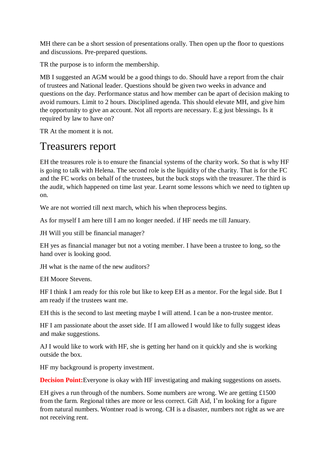MH there can be a short session of presentations orally. Then open up the floor to questions and discussions. Pre-prepared questions.

TR the purpose is to inform the membership.

MB I suggested an AGM would be a good things to do. Should have a report from the chair of trustees and National leader. Questions should be given two weeks in advance and questions on the day. Performance status and how member can be apart of decision making to avoid rumours. Limit to 2 hours. Disciplined agenda. This should elevate MH, and give him the opportunity to give an account. Not all reports are necessary. E.g just blessings. Is it required by law to have on?

TR At the moment it is not.

# Treasurers report

EH the treasures role is to ensure the financial systems of the charity work. So that is why HF is going to talk with Helena. The second role is the liquidity of the charity. That is for the FC and the FC works on behalf of the trustees, but the buck stops with the treasurer. The third is the audit, which happened on time last year. Learnt some lessons which we need to tighten up on.

We are not worried till next march, which his when theprocess begins.

As for myself I am here till I am no longer needed. if HF needs me till January.

JH Will you still be financial manager?

EH yes as financial manager but not a voting member. I have been a trustee to long, so the hand over is looking good.

JH what is the name of the new auditors?

EH Moore Stevens.

HF I think I am ready for this role but like to keep EH as a mentor. For the legal side. But I am ready if the trustees want me.

EH this is the second to last meeting maybe I will attend. I can be a non-trustee mentor.

HF I am passionate about the asset side. If I am allowed I would like to fully suggest ideas and make suggestions.

AJ I would like to work with HF, she is getting her hand on it quickly and she is working outside the box.

HF my background is property investment.

**Decision Point:**Everyone is okay with HF investigating and making suggestions on assets.

EH gives a run through of the numbers. Some numbers are wrong. We are getting £1500 from the farm. Regional tithes are more or less correct. Gift Aid, I'm looking for a figure from natural numbers. Wontner road is wrong. CH is a disaster, numbers not right as we are not receiving rent.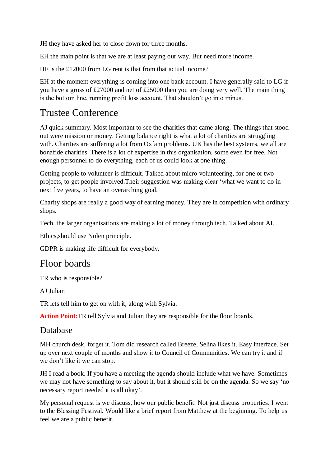JH they have asked her to close down for three months.

EH the main point is that we are at least paying our way. But need more income.

HF is the £12000 from LG rent is that from that actual income?

EH at the moment everything is coming into one bank account. I have generally said to LG if you have a gross of £27000 and net of £25000 then you are doing very well. The main thing is the bottom line, running profit loss account. That shouldn't go into minus.

# Trustee Conference

AJ quick summary. Most important to see the charities that came along. The things that stood out were mission or money. Getting balance right is what a lot of charities are struggling with. Charities are suffering a lot from Oxfam problems. UK has the best systems, we all are bonafide charities. There is a lot of expertise in this organisation, some even for free. Not enough personnel to do everything, each of us could look at one thing.

Getting people to volunteer is difficult. Talked about micro volunteering, for one or two projects, to get people involved.Their suggestion was making clear 'what we want to do in next five years, to have an overarching goal.

Charity shops are really a good way of earning money. They are in competition with ordinary shops.

Tech. the larger organisations are making a lot of money through tech. Talked about AI.

Ethics,should use Nolen principle.

GDPR is making life difficult for everybody.

# Floor boards

TR who is responsible?

AJ Julian

TR lets tell him to get on with it, along with Sylvia.

**Action Point:**TR tell Sylvia and Julian they are responsible for the floor boards.

#### Database

MH church desk, forget it. Tom did research called Breeze, Selina likes it. Easy interface. Set up over next couple of months and show it to Council of Communities. We can try it and if we don't like it we can stop.

JH I read a book. If you have a meeting the agenda should include what we have. Sometimes we may not have something to say about it, but it should still be on the agenda. So we say 'no necessary report needed it is all okay'.

My personal request is we discuss, how our public benefit. Not just discuss properties. I went to the Blessing Festival. Would like a brief report from Matthew at the beginning. To help us feel we are a public benefit.